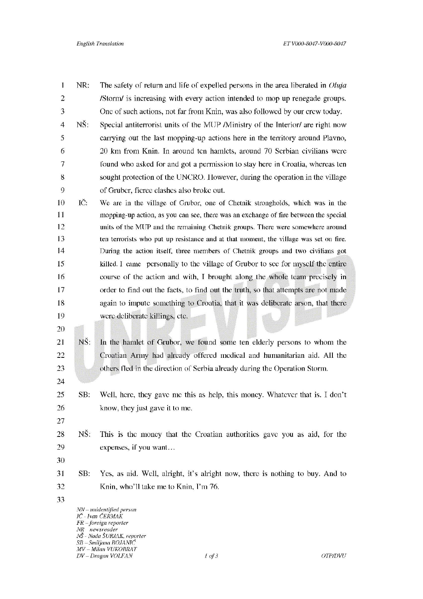| 1              | NR:           | The safety of return and life of expelled persons in the area liberated in <i>Oluja</i>                                      |
|----------------|---------------|------------------------------------------------------------------------------------------------------------------------------|
| $\overline{2}$ |               | /Storm/ is increasing with every action intended to mop up renegade groups.                                                  |
| 3              |               | One of such actions, not far from Knin, was also followed by our crew today.                                                 |
| $\overline{4}$ | NŠ:           | Special antiterrorist units of the MUP Ministry of the Interior/ are right now                                               |
| 5              |               | carrying out the last mopping-up actions here in the territory around Plavno,                                                |
| 6              |               | 20 km from Knin. In around ten hamlets, around 70 Serbian civilians were                                                     |
| 7              |               | found who asked for and got a permission to stay here in Croatia, whereas ten                                                |
| 8              |               | sought protection of the UNCRO. However, during the operation in the village                                                 |
| 9              |               | of Gruber, fierce clashes also broke out.                                                                                    |
| 10             | IČ.           | We are in the village of Grubor, one of Chetnik strongholds, which was in the                                                |
| 11             |               | mopping-up action, as you can see, there was an exchange of fire between the special                                         |
| 12             |               | units of the MUP and the remaining Chetnik groups. There were somewhere around                                               |
| 13             |               | ten terrorists who put up resistance and at that moment, the village was set on fire.                                        |
| 14             |               | During the action itself, three members of Chetnik groups and two civilians got                                              |
| 15             |               | killed. I came personally to the village of Grubor to see for myself the entire                                              |
| 16             |               | course of the action and with, I brought along the whole team precisely in                                                   |
| 17             |               | order to find out the facts, to find out the truth, so that attempts are not made                                            |
| 18             |               | again to impute something to Croatia, that it was deliberate arson, that there                                               |
| 19             |               | were deliberate killings, etc.                                                                                               |
| 20             |               |                                                                                                                              |
| 21             | NŠ:           | In the hamlet of Grubor, we found some ten elderly persons to whom the                                                       |
| 22             |               | Croatian Army had already offered medical and humanitarian aid. All the                                                      |
| 23             |               | others fled in the direction of Serbia already during the Operation Storm.                                                   |
| 24             |               |                                                                                                                              |
| 25             | SB:           | Well, here, they gave me this as help, this money. Whatever that is. I don't                                                 |
| 26             |               | know, they just gave it to me.                                                                                               |
| 27             |               |                                                                                                                              |
| 28             | NŠ:           | This is the money that the Croatian authorities gave you as aid, for the                                                     |
| 29             |               | expenses, if you want                                                                                                        |
| 30             |               |                                                                                                                              |
| 31             | SB:           | Yes, as aid. Well, alright, it's alright now, there is nothing to buy. And to                                                |
| 32             |               | Knin, who'll take me to Knin, I'm 76.                                                                                        |
| 33             |               |                                                                                                                              |
|                | NR newsreader | NN-unidentified person<br>IC - Ivan CERMAK<br>$FR$ – foreign reporter<br>NS - Nada ŠURJAK, reporter<br>SB - Smiljana BOJANIĆ |

MV – Milan VUKOBRAT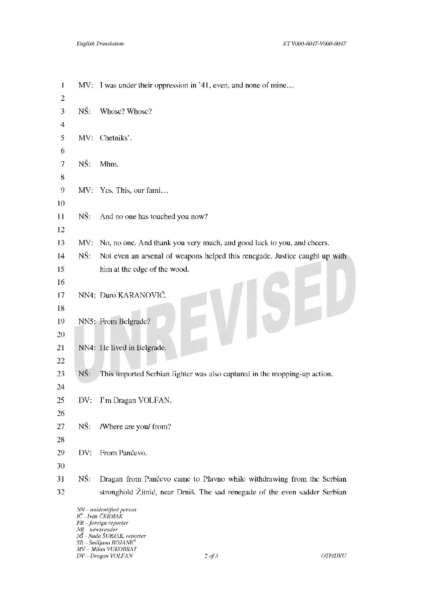| $\mathbf{I}$             | MV:           | I was under their oppression in '41, even, and none of mine                                                                  |
|--------------------------|---------------|------------------------------------------------------------------------------------------------------------------------------|
| $\overline{2}$           |               |                                                                                                                              |
| $\overline{\mathbf{3}}$  | NŠ:           | Whose? Whose?                                                                                                                |
| $\overline{\mathbf{4}}$  |               |                                                                                                                              |
| 5                        | MV:           | Chetniks'.                                                                                                                   |
| 6                        |               |                                                                                                                              |
| $\overline{\phantom{a}}$ | NŠ.           | Mhm.                                                                                                                         |
| 8                        |               |                                                                                                                              |
| $\mathfrak{g}$           | MV:           | Yes. This, our fami                                                                                                          |
| 10                       |               |                                                                                                                              |
| 11                       | NŠ:           | And no one has touched you now?                                                                                              |
| 12                       |               |                                                                                                                              |
| 13                       | MV:           | No, no one. And thank you very much, and good luck to you, and cheers.                                                       |
| 14                       | NS:           | Not even an arsenal of weapons helped this renegade. Justice caught up with                                                  |
| 15                       |               | him at the edge of the wood.                                                                                                 |
| 16                       |               |                                                                                                                              |
| 17                       |               | NN4: Đuro KARANOVIĆ.                                                                                                         |
| 18                       |               |                                                                                                                              |
| 19                       |               | NN5: From Belgrade?                                                                                                          |
| 20                       |               |                                                                                                                              |
| 21                       |               | NN4: He lived in Belgrade.                                                                                                   |
| 22                       |               |                                                                                                                              |
| 23                       | NŠ:           | This imported Serbian fighter was also captured in the mopping-up action.                                                    |
| 24                       |               |                                                                                                                              |
| 25                       |               | DV: I'm Dragan VOLFAN.                                                                                                       |
| 26                       |               |                                                                                                                              |
| 27                       | NŠ:           | /Where are you/ from?                                                                                                        |
| 28                       |               |                                                                                                                              |
| 29                       | DV:           | From Pančevo.                                                                                                                |
| 30                       |               |                                                                                                                              |
| 31                       | NŠ:           | Dragan from Pančevo came to Plavno while withdrawing from the Serbian                                                        |
| 32                       |               | stronghold Žitnić, near Drniš. The sad renegade of the even sadder Serbian                                                   |
|                          | NR newsreader | NN-unidentified person<br>IČ - Ivan ČERMAK<br>$FR$ – foreign reporter<br>NŠ - Nada ŠURJAK, reporter<br>$SB - Smljana BOJAMC$ |